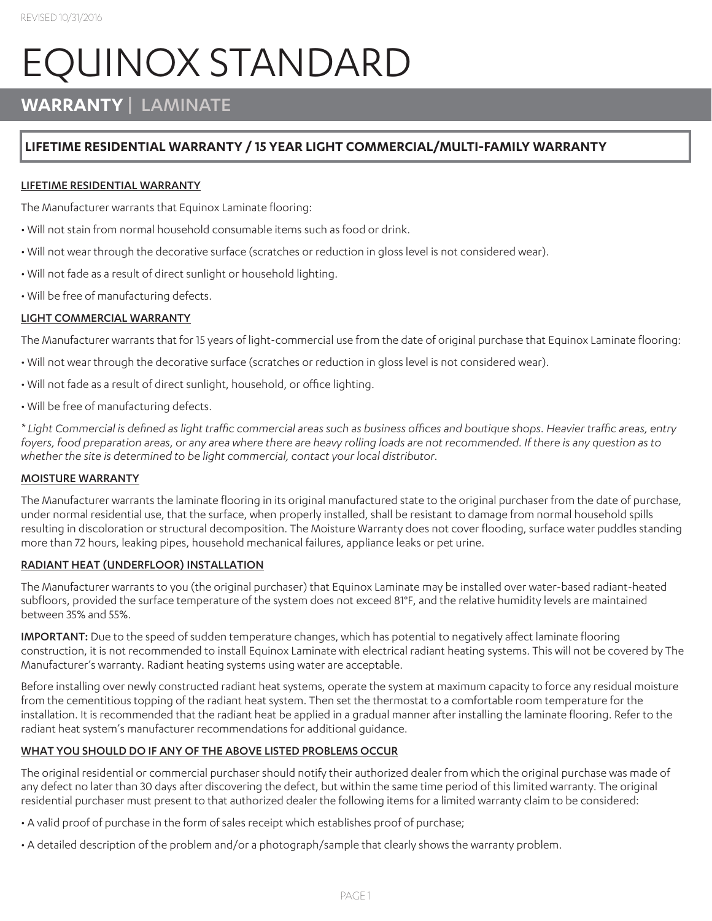# EQUINOX STANDARD

## **WARRANTY** | LAMINATE

### **LIFETIME RESIDENTIAL WARRANTY / 15 YEAR LIGHT COMMERCIAL/MULTI-FAMILY WARRANTY**

#### LIFETIME RESIDENTIAL WARRANTY

The Manufacturer warrants that Equinox Laminate flooring:

- Will not stain from normal household consumable items such as food or drink.
- Will not wear through the decorative surface (scratches or reduction in gloss level is not considered wear).
- Will not fade as a result of direct sunlight or household lighting.
- Will be free of manufacturing defects.

#### LIGHT COMMERCIAL WARRANTY

The Manufacturer warrants that for 15 years of light-commercial use from the date of original purchase that Equinox Laminate flooring:

- Will not wear through the decorative surface (scratches or reduction in gloss level is not considered wear).
- Will not fade as a result of direct sunlight, household, or office lighting.
- Will be free of manufacturing defects.

*\* Light Commercial is defined as light traffic commercial areas such as business offices and boutique shops. Heavier traffic areas, entry foyers, food preparation areas, or any area where there are heavy rolling loads are not recommended. If there is any question as to whether the site is determined to be light commercial, contact your local distributor.*

#### MOISTURE WARRANTY

The Manufacturer warrants the laminate flooring in its original manufactured state to the original purchaser from the date of purchase, under normal residential use, that the surface, when properly installed, shall be resistant to damage from normal household spills resulting in discoloration or structural decomposition. The Moisture Warranty does not cover flooding, surface water puddles standing more than 72 hours, leaking pipes, household mechanical failures, appliance leaks or pet urine.

#### RADIANT HEAT (UNDERFLOOR) INSTALLATION

The Manufacturer warrants to you (the original purchaser) that Equinox Laminate may be installed over water-based radiant-heated subfloors, provided the surface temperature of the system does not exceed 81°F, and the relative humidity levels are maintained between 35% and 55%.

IMPORTANT: Due to the speed of sudden temperature changes, which has potential to negatively affect laminate flooring construction, it is not recommended to install Equinox Laminate with electrical radiant heating systems. This will not be covered by The Manufacturer's warranty. Radiant heating systems using water are acceptable.

Before installing over newly constructed radiant heat systems, operate the system at maximum capacity to force any residual moisture from the cementitious topping of the radiant heat system. Then set the thermostat to a comfortable room temperature for the installation. It is recommended that the radiant heat be applied in a gradual manner after installing the laminate flooring. Refer to the radiant heat system's manufacturer recommendations for additional guidance.

#### WHAT YOU SHOULD DO IF ANY OF THE ABOVE LISTED PROBLEMS OCCUR

The original residential or commercial purchaser should notify their authorized dealer from which the original purchase was made of any defect no later than 30 days after discovering the defect, but within the same time period of this limited warranty. The original residential purchaser must present to that authorized dealer the following items for a limited warranty claim to be considered:

- A valid proof of purchase in the form of sales receipt which establishes proof of purchase;
- A detailed description of the problem and/or a photograph/sample that clearly shows the warranty problem.